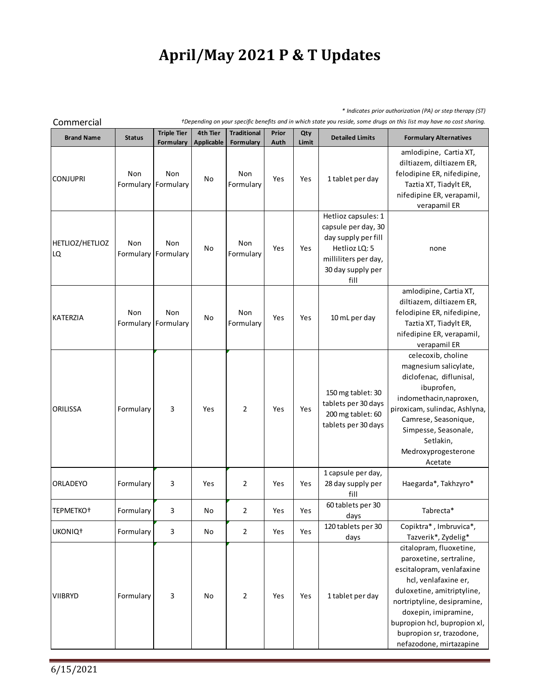## **April/May 2021 P & T Updates**

*\* Indicates prior authorization (PA) or step therapy (ST)*

| <b>Brand Name</b>     | <b>Status</b>    | <b>Triple Tier</b><br>Formulary | 4th Tier<br><b>Applicable</b> | <b>Traditional</b><br>Formulary | Prior<br>Auth | Qty<br>Limit | <b>Detailed Limits</b>                                                                                                                  | <b>Formulary Alternatives</b>                                                                                                                                                                                                                                                       |
|-----------------------|------------------|---------------------------------|-------------------------------|---------------------------------|---------------|--------------|-----------------------------------------------------------------------------------------------------------------------------------------|-------------------------------------------------------------------------------------------------------------------------------------------------------------------------------------------------------------------------------------------------------------------------------------|
| <b>CONJUPRI</b>       | Non<br>Formulary | Non<br>Formulary                | No                            | Non<br>Formulary                | Yes           | Yes          | 1 tablet per day                                                                                                                        | amlodipine, Cartia XT,<br>diltiazem, diltiazem ER,<br>felodipine ER, nifedipine,<br>Taztia XT, Tiadylt ER,<br>nifedipine ER, verapamil,<br>verapamil ER                                                                                                                             |
| HETLIOZ/HETLIOZ<br>LQ | Non<br>Formulary | Non<br>Formulary                | No                            | Non<br>Formulary                | Yes           | Yes          | Hetlioz capsules: 1<br>capsule per day, 30<br>day supply per fill<br>Hetlioz LQ: 5<br>milliliters per day,<br>30 day supply per<br>fill | none                                                                                                                                                                                                                                                                                |
| KATERZIA              | Non<br>Formulary | Non<br>Formulary                | No                            | Non<br>Formulary                | Yes           | Yes          | 10 mL per day                                                                                                                           | amlodipine, Cartia XT,<br>diltiazem, diltiazem ER,<br>felodipine ER, nifedipine,<br>Taztia XT, Tiadylt ER,<br>nifedipine ER, verapamil,<br>verapamil ER                                                                                                                             |
| <b>ORILISSA</b>       | Formulary        | 3                               | Yes                           | $\overline{2}$                  | Yes           | Yes          | 150 mg tablet: 30<br>tablets per 30 days<br>200 mg tablet: 60<br>tablets per 30 days                                                    | celecoxib, choline<br>magnesium salicylate,<br>diclofenac, diflunisal,<br>ibuprofen,<br>indomethacin, naproxen,<br>piroxicam, sulindac, Ashlyna,<br>Camrese, Seasonique,<br>Simpesse, Seasonale,<br>Setlakin,<br>Medroxyprogesterone<br>Acetate                                     |
| <b>ORLADEYO</b>       | Formulary        | 3                               | Yes                           | $\overline{2}$                  | Yes           | Yes          | 1 capsule per day,<br>28 day supply per<br>fill                                                                                         | Haegarda*, Takhzyro*                                                                                                                                                                                                                                                                |
| TEPMETKO <sup>+</sup> | Formulary        | 3                               | No                            | $\overline{2}$                  | Yes           | Yes          | 60 tablets per 30<br>days                                                                                                               | Tabrecta*                                                                                                                                                                                                                                                                           |
| UKONIQ <sup>+</sup>   | Formulary        | 3                               | No                            | $\overline{2}$                  | Yes           | Yes          | 120 tablets per 30<br>days                                                                                                              | Copiktra*, Imbruvica*,<br>Tazverik*, Zydelig*                                                                                                                                                                                                                                       |
| <b>VIIBRYD</b>        | Formulary        | 3                               | No                            | $\overline{2}$                  | Yes           | Yes          | 1 tablet per day                                                                                                                        | citalopram, fluoxetine,<br>paroxetine, sertraline,<br>escitalopram, venlafaxine<br>hcl, venlafaxine er,<br>duloxetine, amitriptyline,<br>nortriptyline, desipramine,<br>doxepin, imipramine,<br>bupropion hcl, bupropion xl,<br>bupropion sr, trazodone,<br>nefazodone, mirtazapine |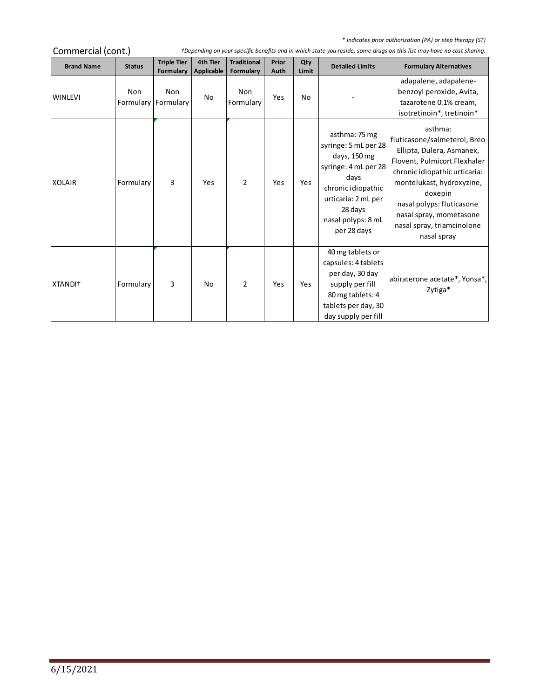*\* Indicates prior authorization (PA) or step therapy (ST)*

and in

| Commercial (cont.)  |                            | +Depending on your specific benefits and in which state you reside, some drugs on this list may have no cost sharing. |                        |                                 |               |              |                                                                                                                                                                                    |                                                                                                                                                                                                                                                                                    |  |
|---------------------|----------------------------|-----------------------------------------------------------------------------------------------------------------------|------------------------|---------------------------------|---------------|--------------|------------------------------------------------------------------------------------------------------------------------------------------------------------------------------------|------------------------------------------------------------------------------------------------------------------------------------------------------------------------------------------------------------------------------------------------------------------------------------|--|
| <b>Brand Name</b>   | <b>Status</b>              | <b>Triple Tier</b><br>Formulary                                                                                       | 4th Tier<br>Applicable | <b>Traditional</b><br>Formulary | Prior<br>Auth | Qty<br>Limit | <b>Detailed Limits</b>                                                                                                                                                             | <b>Formulary Alternatives</b>                                                                                                                                                                                                                                                      |  |
| <b>WINLEVI</b>      | Non<br>Formulary Formulary | Non                                                                                                                   | No                     | Non<br>Formulary                | Yes           | No           |                                                                                                                                                                                    | adapalene, adapalene-<br>benzoyl peroxide, Avita,<br>tazarotene 0.1% cream,<br>isotretinoin*, tretinoin*                                                                                                                                                                           |  |
| <b>XOLAIR</b>       | Formulary                  | 3                                                                                                                     | Yes                    | $\overline{2}$                  | Yes           | Yes          | asthma: 75 mg<br>syringe: 5 mL per 28<br>days, 150 mg<br>syringe: 4 mL per 28<br>days<br>chronic idiopathic<br>urticaria: 2 mL per<br>28 days<br>nasal polyps: 8 mL<br>per 28 days | asthma:<br>fluticasone/salmeterol, Breo<br>Ellipta, Dulera, Asmanex,<br>Flovent, Pulmicort Flexhaler<br>chronic idiopathic urticaria:<br>montelukast, hydroxyzine,<br>doxepin<br>nasal polyps: fluticasone<br>nasal spray, mometasone<br>nasal spray, triamcinolone<br>nasal spray |  |
| XTANDI <sup>+</sup> | Formulary                  | 3                                                                                                                     | No                     | $\overline{2}$                  | Yes           | Yes          | 40 mg tablets or<br>capsules: 4 tablets<br>per day, 30 day<br>supply per fill<br>80 mg tablets: 4<br>tablets per day, 30<br>day supply per fill                                    | abiraterone acetate*, Yonsa*,<br>Zytiga*                                                                                                                                                                                                                                           |  |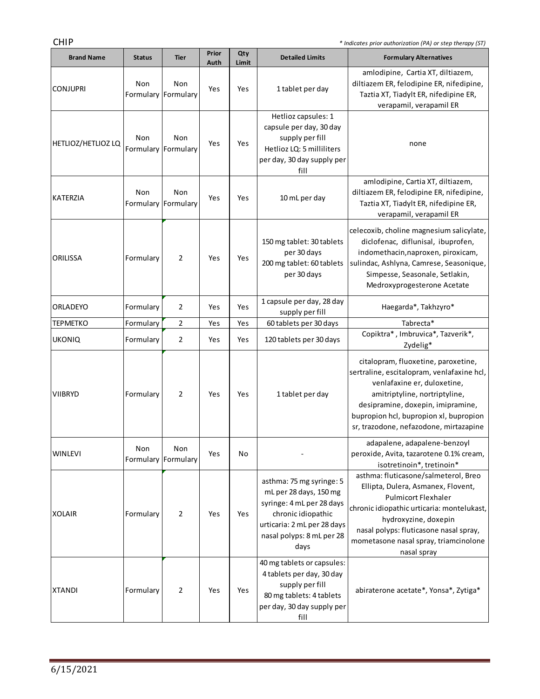CHIP *\* Indicates prior authorization (PA) or step therapy (ST)*

 $\sim$ 

| <b>Brand Name</b>  | <b>Status</b>    | <b>Tier</b>      | Prior<br>Auth | Qty<br>Limit | <b>Detailed Limits</b>                                                                                                                                                    | <b>Formulary Alternatives</b>                                                                                                                                                                                                                                                    |
|--------------------|------------------|------------------|---------------|--------------|---------------------------------------------------------------------------------------------------------------------------------------------------------------------------|----------------------------------------------------------------------------------------------------------------------------------------------------------------------------------------------------------------------------------------------------------------------------------|
| <b>CONJUPRI</b>    | Non<br>Formulary | Non<br>Formulary | Yes           | Yes          | 1 tablet per day                                                                                                                                                          | amlodipine, Cartia XT, diltiazem,<br>diltiazem ER, felodipine ER, nifedipine,<br>Taztia XT, Tiadylt ER, nifedipine ER,<br>verapamil, verapamil ER                                                                                                                                |
| HETLIOZ/HETLIOZ LQ | Non<br>Formulary | Non<br>Formulary | Yes           | Yes          | Hetlioz capsules: 1<br>capsule per day, 30 day<br>supply per fill<br>Hetlioz LQ: 5 milliliters<br>per day, 30 day supply per<br>fill                                      | none                                                                                                                                                                                                                                                                             |
| KATERZIA           | Non<br>Formulary | Non<br>Formulary | Yes           | Yes          | 10 mL per day                                                                                                                                                             | amlodipine, Cartia XT, diltiazem,<br>diltiazem ER, felodipine ER, nifedipine,<br>Taztia XT, Tiadylt ER, nifedipine ER,<br>verapamil, verapamil ER                                                                                                                                |
| ORILISSA           | Formulary        | 2                | Yes           | Yes          | 150 mg tablet: 30 tablets<br>per 30 days<br>200 mg tablet: 60 tablets<br>per 30 days                                                                                      | celecoxib, choline magnesium salicylate,<br>diclofenac, diflunisal, ibuprofen,<br>indomethacin, naproxen, piroxicam,<br>sulindac, Ashlyna, Camrese, Seasonique,<br>Simpesse, Seasonale, Setlakin,<br>Medroxyprogesterone Acetate                                                 |
| ORLADEYO           | Formulary        | 2                | Yes           | Yes          | 1 capsule per day, 28 day<br>supply per fill                                                                                                                              | Haegarda*, Takhzyro*                                                                                                                                                                                                                                                             |
| <b>TEPMETKO</b>    | Formulary        | $\overline{2}$   | Yes           | Yes          | 60 tablets per 30 days                                                                                                                                                    | Tabrecta*                                                                                                                                                                                                                                                                        |
| <b>UKONIQ</b>      | Formulary        | 2                | Yes           | Yes          | 120 tablets per 30 days                                                                                                                                                   | Copiktra*, Imbruvica*, Tazverik*,<br>Zydelig*                                                                                                                                                                                                                                    |
| <b>VIIBRYD</b>     | Formulary        | 2                | Yes           | Yes          | 1 tablet per day                                                                                                                                                          | citalopram, fluoxetine, paroxetine,<br>sertraline, escitalopram, venlafaxine hcl,<br>venlafaxine er, duloxetine,<br>amitriptyline, nortriptyline,<br>desipramine, doxepin, imipramine,<br>bupropion hcl, bupropion xl, bupropion<br>sr, trazodone, nefazodone, mirtazapine       |
| <b>WINLEVI</b>     | Non<br>Formulary | Non<br>Formulary | Yes           | No           |                                                                                                                                                                           | adapalene, adapalene-benzoyl<br>peroxide, Avita, tazarotene 0.1% cream,<br>isotretinoin*, tretinoin*                                                                                                                                                                             |
| <b>XOLAIR</b>      | Formulary        | 2                | Yes           | Yes          | asthma: 75 mg syringe: 5<br>mL per 28 days, 150 mg<br>syringe: 4 mL per 28 days<br>chronic idiopathic<br>urticaria: 2 mL per 28 days<br>nasal polyps: 8 mL per 28<br>days | asthma: fluticasone/salmeterol, Breo<br>Ellipta, Dulera, Asmanex, Flovent,<br><b>Pulmicort Flexhaler</b><br>chronic idiopathic urticaria: montelukast,<br>hydroxyzine, doxepin<br>nasal polyps: fluticasone nasal spray,<br>mometasone nasal spray, triamcinolone<br>nasal spray |
| <b>XTANDI</b>      | Formulary        | 2                | Yes           | Yes          | 40 mg tablets or capsules:<br>4 tablets per day, 30 day<br>supply per fill<br>80 mg tablets: 4 tablets<br>per day, 30 day supply per<br>fill                              | abiraterone acetate*, Yonsa*, Zytiga*                                                                                                                                                                                                                                            |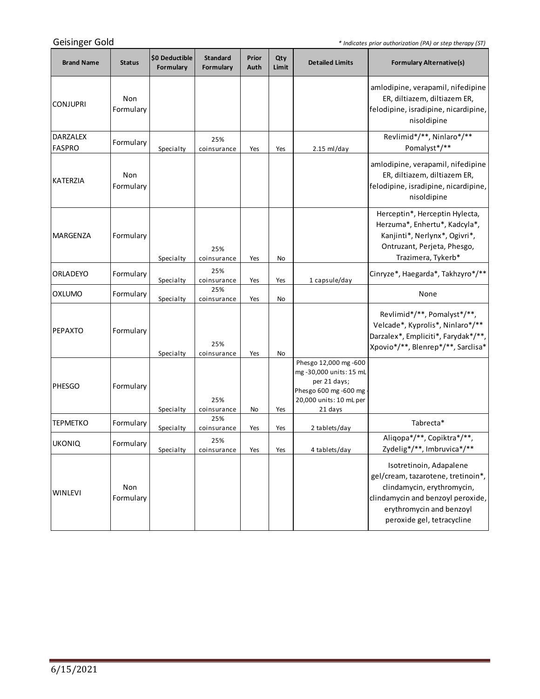*\* Indicates prior authorization (PA) or step therapy (ST)*

 $\sim$ 

| <b>Brand Name</b>         | <b>Status</b>    | \$0 Deductible<br>Formulary | <b>Standard</b><br>Formulary | Prior<br>Auth | Qty<br>Limit | <b>Detailed Limits</b>                                                                                                         | <b>Formulary Alternative(s)</b>                                                                                                                                                            |
|---------------------------|------------------|-----------------------------|------------------------------|---------------|--------------|--------------------------------------------------------------------------------------------------------------------------------|--------------------------------------------------------------------------------------------------------------------------------------------------------------------------------------------|
| <b>CONJUPRI</b>           | Non<br>Formulary |                             |                              |               |              |                                                                                                                                | amlodipine, verapamil, nifedipine<br>ER, diltiazem, diltiazem ER,<br>felodipine, isradipine, nicardipine,<br>nisoldipine                                                                   |
| <b>DARZALEX</b><br>FASPRO | Formulary        | Specialty                   | 25%<br>coinsurance           | Yes           | Yes          | $2.15$ ml/day                                                                                                                  | Revlimid*/**, Ninlaro*/**<br>Pomalyst*/**                                                                                                                                                  |
| KATERZIA                  | Non<br>Formulary |                             |                              |               |              |                                                                                                                                | amlodipine, verapamil, nifedipine<br>ER, diltiazem, diltiazem ER,<br>felodipine, isradipine, nicardipine,<br>nisoldipine                                                                   |
| MARGENZA                  | Formulary        | Specialty                   | 25%<br>coinsurance           | Yes           | No           |                                                                                                                                | Herceptin*, Herceptin Hylecta,<br>Herzuma*, Enhertu*, Kadcyla*,<br>Kanjinti*, Nerlynx*, Ogivri*,<br>Ontruzant, Perjeta, Phesgo,<br>Trazimera, Tykerb*                                      |
| <b>ORLADEYO</b>           | Formulary        | Specialty                   | 25%<br>coinsurance           | Yes           | Yes          | 1 capsule/day                                                                                                                  | Cinryze*, Haegarda*, Takhzyro*/**                                                                                                                                                          |
| <b>OXLUMO</b>             | Formulary        | Specialty                   | 25%<br>coinsurance           | Yes           | No           |                                                                                                                                | None                                                                                                                                                                                       |
| <b>PEPAXTO</b>            | Formulary        | Specialty                   | 25%<br>coinsurance           | Yes           | No           |                                                                                                                                | Revlimid*/**, Pomalyst*/**,<br>Velcade*, Kyprolis*, Ninlaro*/**<br>Darzalex*, Empliciti*, Farydak*/**,<br>Xpovio*/**, Blenrep*/**, Sarclisa*                                               |
| <b>PHESGO</b>             | Formulary        | Specialty                   | 25%<br>coinsurance           | No            | Yes          | Phesgo 12,000 mg -600<br>mg-30,000 units: 15 mL<br>per 21 days;<br>Phesgo 600 mg -600 mg<br>20,000 units: 10 mL per<br>21 days |                                                                                                                                                                                            |
| <b>TEPMETKO</b>           | Formulary        | Specialty                   | 25%<br>coinsurance           | Yes           | Yes          | 2 tablets/day                                                                                                                  | Tabrecta*                                                                                                                                                                                  |
| <b>UKONIQ</b>             | Formulary        | Specialty                   | 25%<br>coinsurance           | Yes           | Yes          | 4 tablets/day                                                                                                                  | Aliqopa*/**, Copiktra*/**,<br>Zydelig*/**, Imbruvica*/**                                                                                                                                   |
| <b>WINLEVI</b>            | Non<br>Formulary |                             |                              |               |              |                                                                                                                                | Isotretinoin, Adapalene<br>gel/cream, tazarotene, tretinoin*,<br>clindamycin, erythromycin,<br>clindamycin and benzoyl peroxide,<br>erythromycin and benzoyl<br>peroxide gel, tetracycline |